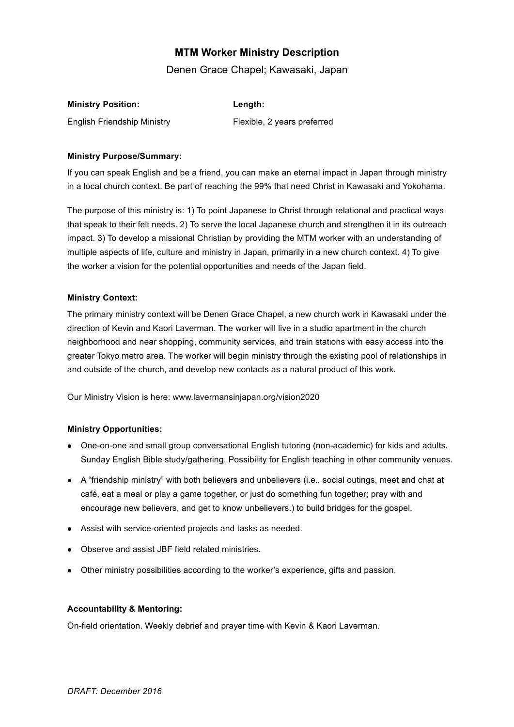# **MTM Worker Ministry Description**

Denen Grace Chapel; Kawasaki, Japan

| <b>Ministry Position:</b>          | Length:                     |
|------------------------------------|-----------------------------|
| <b>English Friendship Ministry</b> | Flexible, 2 years preferred |

### **Ministry Purpose/Summary:**

If you can speak English and be a friend, you can make an eternal impact in Japan through ministry in a local church context. Be part of reaching the 99% that need Christ in Kawasaki and Yokohama.

The purpose of this ministry is: 1) To point Japanese to Christ through relational and practical ways that speak to their felt needs. 2) To serve the local Japanese church and strengthen it in its outreach impact. 3) To develop a missional Christian by providing the MTM worker with an understanding of multiple aspects of life, culture and ministry in Japan, primarily in a new church context. 4) To give the worker a vision for the potential opportunities and needs of the Japan field.

#### **Ministry Context:**

The primary ministry context will be Denen Grace Chapel, a new church work in Kawasaki under the direction of Kevin and Kaori Laverman. The worker will live in a studio apartment in the church neighborhood and near shopping, community services, and train stations with easy access into the greater Tokyo metro area. The worker will begin ministry through the existing pool of relationships in and outside of the church, and develop new contacts as a natural product of this work.

Our Ministry Vision is here: www.lavermansinjapan.org/vision2020

# **Ministry Opportunities:**

- One-on-one and small group conversational English tutoring (non-academic) for kids and adults. Sunday English Bible study/gathering. Possibility for English teaching in other community venues.
- A "friendship ministry" with both believers and unbelievers (i.e., social outings, meet and chat at café, eat a meal or play a game together, or just do something fun together; pray with and encourage new believers, and get to know unbelievers.) to build bridges for the gospel.
- Assist with service-oriented projects and tasks as needed.
- Observe and assist JBF field related ministries.
- Other ministry possibilities according to the worker's experience, gifts and passion.

# **Accountability & Mentoring:**

On-field orientation. Weekly debrief and prayer time with Kevin & Kaori Laverman.